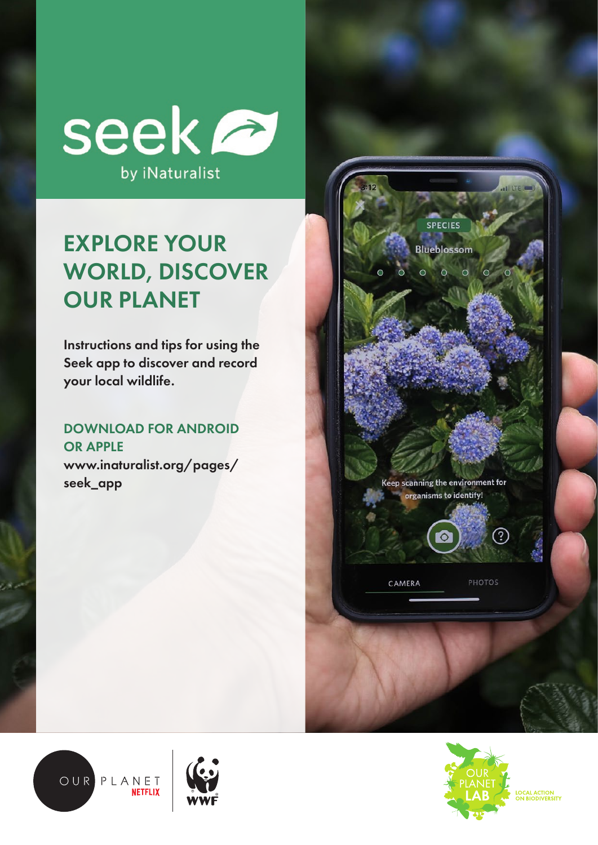

# EXPLORE YOUR WORLD, DISCOVER OUR PLANET

Instructions and tips for using the Seek app to discover and record your local wildlife.

## DOWNLOAD FOR ANDROID OR APPLE

www.inaturalist.org/pages/ seek\_app









LOCAL ACTION<br>ON BIODIVERSITY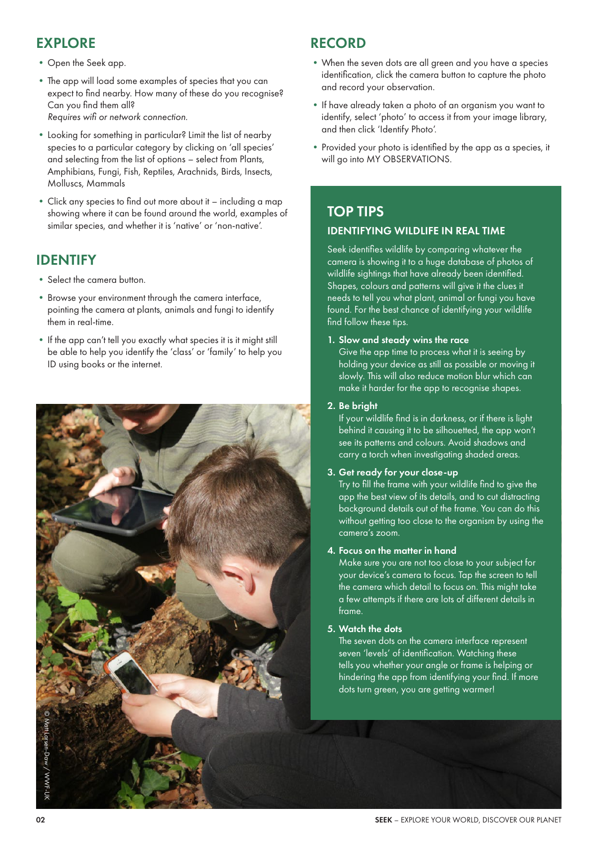### EXPLORE

- •Open the Seek app.
- •The app will load some examples of species that you can expect to find nearby. How many of these do you recognise? Can you find them all? *Requires wifi or network connection.*
- •Looking for something in particular? Limit the list of nearby species to a particular category by clicking on 'all species' and selecting from the list of options – select from Plants, Amphibians, Fungi, Fish, Reptiles, Arachnids, Birds, Insects, Molluscs, Mammals
- •Click any species to find out more about it including a map showing where it can be found around the world, examples of similar species, and whether it is 'native' or 'non-native'.

# IDENTIFY

- Select the camera button.
- •Browse your environment through the camera interface, pointing the camera at plants, animals and fungi to identify them in real-time.
- If the app can't tell you exactly what species it is it might still be able to help you identify the 'class' or 'family' to help you ID using books or the internet.



### RECORD

- •When the seven dots are all green and you have a species identification, click the camera button to capture the photo and record your observation.
- •If have already taken a photo of an organism you want to identify, select 'photo' to access it from your image library, and then click 'Identify Photo'.
- Provided your photo is identified by the app as a species, it will go into MY OBSERVATIONS.

# TOP TIPS IDENTIFYING WILDLIFE IN REAL TIME

Seek identifies wildlife by comparing whatever the camera is showing it to a huge database of photos of wildlife sightings that have already been identified. Shapes, colours and patterns will give it the clues it needs to tell you what plant, animal or fungi you have found. For the best chance of identifying your wildlife find follow these tips.

#### 1. Slow and steady wins the race

Give the app time to process what it is seeing by holding your device as still as possible or moving it slowly. This will also reduce motion blur which can make it harder for the app to recognise shapes.

#### 2. Be bright

If your wildlife find is in darkness, or if there is light behind it causing it to be silhouetted, the app won't see its patterns and colours. Avoid shadows and carry a torch when investigating shaded areas.

#### 3. Get ready for your close-up

Try to fill the frame with your wildlife find to give the app the best view of its details, and to cut distracting background details out of the frame. You can do this without getting too close to the organism by using the camera's zoom.

#### 4. Focus on the matter in hand

Make sure you are not too close to your subject for your device's camera to focus. Tap the screen to tell the camera which detail to focus on. This might take a few attempts if there are lots of different details in frame.

#### 5. Watch the dots

The seven dots on the camera interface represent seven 'levels' of identification. Watching these tells you whether your angle or frame is helping or hindering the app from identifying your find. If more dots turn green, you are getting warmer!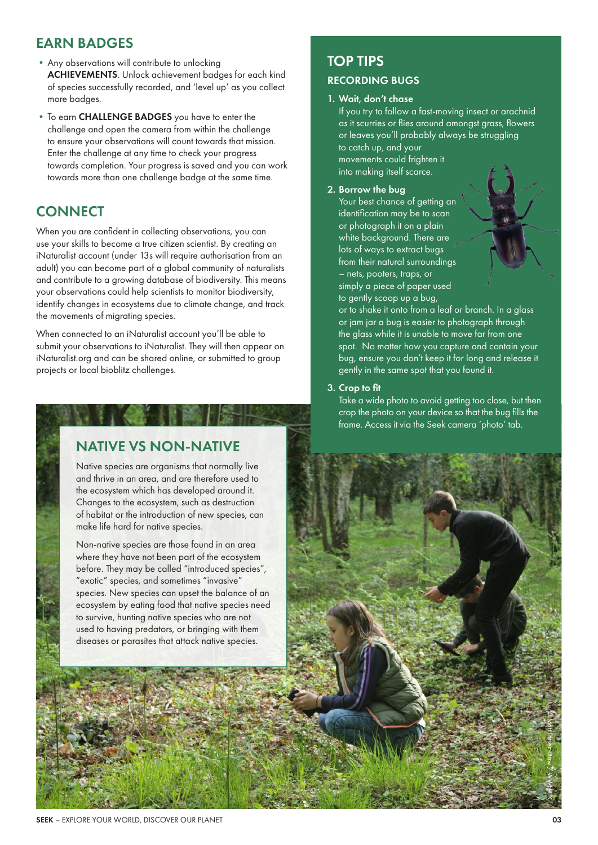### EARN BADGES

- •Any observations will contribute to unlocking ACHIEVEMENTS. Unlock achievement badges for each kind of species successfully recorded, and 'level up' as you collect more badges.
- •To earn CHALLENGE BADGES you have to enter the challenge and open the camera from within the challenge to ensure your observations will count towards that mission. Enter the challenge at any time to check your progress towards completion. Your progress is saved and you can work towards more than one challenge badge at the same time.

# **CONNECT**

When you are confident in collecting observations, you can use your skills to become a true citizen scientist. By creating an iNaturalist account (under 13s will require authorisation from an adult) you can become part of a global community of naturalists and contribute to a growing database of biodiversity. This means your observations could help scientists to monitor biodiversity, identify changes in ecosystems due to climate change, and track the movements of migrating species.

When connected to an iNaturalist account you'll be able to submit your observations to iNaturalist. They will then appear on iNaturalist.org and can be shared online, or submitted to group projects or local bioblitz challenges.

### NATIVE VS NON-NATIVE

Native species are organisms that normally live and thrive in an area, and are therefore used to the ecosystem which has developed around it. Changes to the ecosystem, such as destruction of habitat or the introduction of new species, can make life hard for native species.

Non-native species are those found in an area where they have not been part of the ecosystem before. They may be called "introduced species", "exotic" species, and sometimes "invasive" species. New species can upset the balance of an ecosystem by eating food that native species need to survive, hunting native species who are not used to having predators, or bringing with them diseases or parasites that attack native species.

# TOP TIPS

#### RECORDING BUGS

#### 1. Wait, don't chase

If you try to follow a fast-moving insect or arachnid as it scurries or flies around amongst grass, flowers or leaves you'll probably always be struggling to catch up, and your movements could frighten it into making itself scarce.

2. Borrow the bug

Your best chance of getting an identification may be to scan or photograph it on a plain white background. There are lots of ways to extract bugs from their natural surroundings – nets, pooters, traps, or simply a piece of paper used to gently scoop up a bug,

or to shake it onto from a leaf or branch. In a glass or jam jar a bug is easier to photograph through the glass while it is unable to move far from one spot. No matter how you capture and contain your bug, ensure you don't keep it for long and release it gently in the same spot that you found it.

#### 3. Crop to fit

Take a wide photo to avoid getting too close, but then crop the photo on your device so that the bug fills the frame. Access it via the Seek camera 'photo' tab.